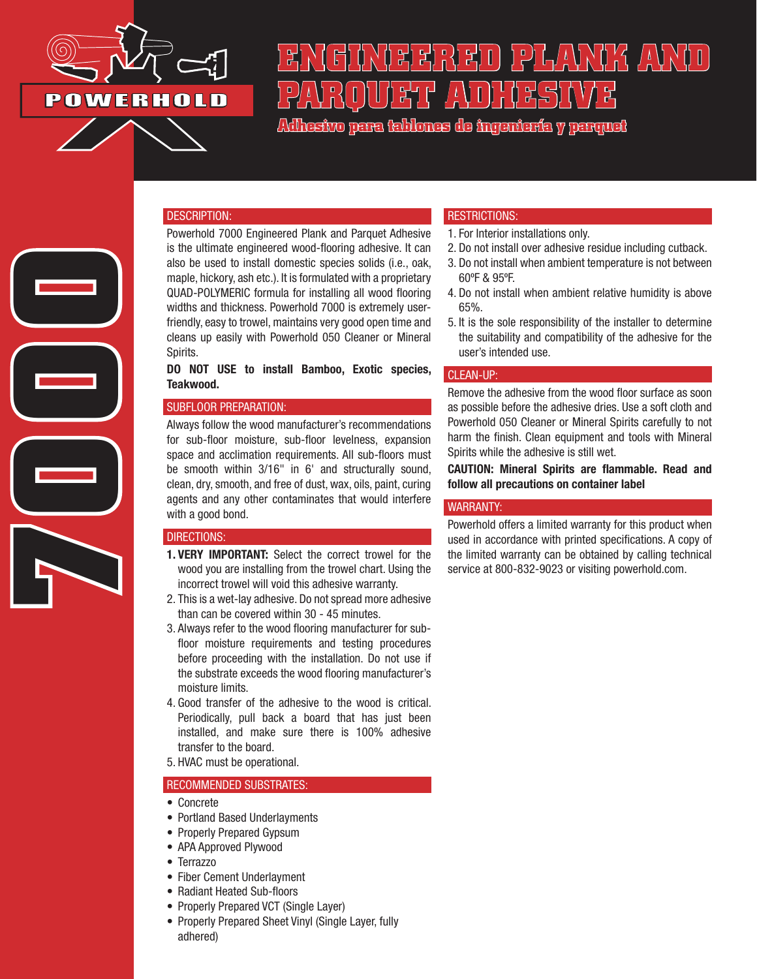

**7000**

# ENGING FRANK OF ( 1 G/s H) C FC ( 1 G/s H) G ( FC H) G ( FC H) G ( FC H) G ( FC H **PARQUET ADHESIVE**

**Adhesivo para tablones de ingeniería y parquet**

#### DESCRIPTION:

Powerhold 7000 Engineered Plank and Parquet Adhesive is the ultimate engineered wood-flooring adhesive. It can also be used to install domestic species solids (i.e., oak, maple, hickory, ash etc.). It is formulated with a proprietary QUAD-POLYMERIC formula for installing all wood flooring widths and thickness. Powerhold 7000 is extremely userfriendly, easy to trowel, maintains very good open time and cleans up easily with Powerhold 050 Cleaner or Mineral Spirits.

DO NOT USE to install Bamboo, Exotic species, Teakwood.

## SUBFLOOR PREPARATION:

Always follow the wood manufacturer's recommendations for sub-floor moisture, sub-floor levelness, expansion space and acclimation requirements. All sub-floors must be smooth within 3/16" in 6' and structurally sound, clean, dry, smooth, and free of dust, wax, oils, paint, curing agents and any other contaminates that would interfere with a good bond.

#### DIRECTIONS:

- 1. VERY IMPORTANT: Select the correct trowel for the wood you are installing from the trowel chart. Using the incorrect trowel will void this adhesive warranty.
- 2. This is a wet-lay adhesive. Do not spread more adhesive than can be covered within 30 - 45 minutes.
- 3. Always refer to the wood flooring manufacturer for subfloor moisture requirements and testing procedures before proceeding with the installation. Do not use if the substrate exceeds the wood flooring manufacturer's moisture limits.
- 4. Good transfer of the adhesive to the wood is critical. Periodically, pull back a board that has just been installed, and make sure there is 100% adhesive transfer to the board.
- 5. HVAC must be operational.

#### RECOMMENDED SUBSTRATES:

- Concrete
- Portland Based Underlayments
- Properly Prepared Gypsum
- APA Approved Plywood
- Terrazzo
- Fiber Cement Underlayment
- Radiant Heated Sub-floors
- Properly Prepared VCT (Single Layer)
- Properly Prepared Sheet Vinyl (Single Layer, fully adhered)

### RESTRICTIONS:

- 1. For Interior installations only.
- 2. Do not install over adhesive residue including cutback.
- 3. Do not install when ambient temperature is not between 60ºF & 95ºF.
- 4. Do not install when ambient relative humidity is above 65%.
- 5. It is the sole responsibility of the installer to determine the suitability and compatibility of the adhesive for the user's intended use.

#### CLEAN-UP:

Remove the adhesive from the wood floor surface as soon as possible before the adhesive dries. Use a soft cloth and Powerhold 050 Cleaner or Mineral Spirits carefully to not harm the finish. Clean equipment and tools with Mineral Spirits while the adhesive is still wet.

CAUTION: Mineral Spirits are flammable. Read and follow all precautions on container label

#### WARRANTY:

Powerhold offers a limited warranty for this product when used in accordance with printed specifications. A copy of the limited warranty can be obtained by calling technical service at 800-832-9023 or visiting powerhold.com.